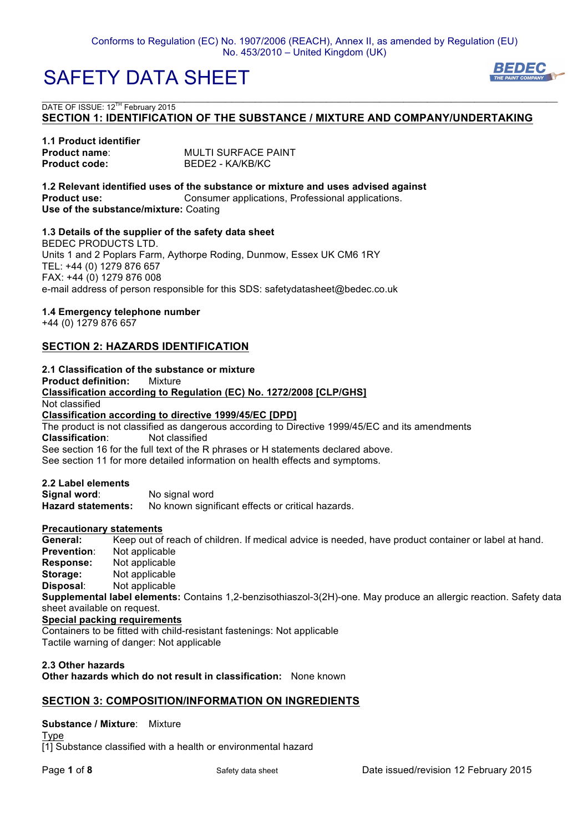

 $\mathcal{L}_\mathcal{L} = \{ \mathcal{L}_\mathcal{L} = \{ \mathcal{L}_\mathcal{L} = \{ \mathcal{L}_\mathcal{L} = \{ \mathcal{L}_\mathcal{L} = \{ \mathcal{L}_\mathcal{L} = \{ \mathcal{L}_\mathcal{L} = \{ \mathcal{L}_\mathcal{L} = \{ \mathcal{L}_\mathcal{L} = \{ \mathcal{L}_\mathcal{L} = \{ \mathcal{L}_\mathcal{L} = \{ \mathcal{L}_\mathcal{L} = \{ \mathcal{L}_\mathcal{L} = \{ \mathcal{L}_\mathcal{L} = \{ \mathcal{L}_\mathcal{$ DATE OF ISSUE: 12<sup>TH</sup> February 2015 **SECTION 1: IDENTIFICATION OF THE SUBSTANCE / MIXTURE AND COMPANY/UNDERTAKING**

#### **1.1 Product identifier Product name:** MULTI SURFACE PAINT Product code: BEDE2 - KA/KB/KC

**1.2 Relevant identified uses of the substance or mixture and uses advised against Product use:** Consumer applications, Professional applications. **Use of the substance/mixture:** Coating

#### **1.3 Details of the supplier of the safety data sheet**

BEDEC PRODUCTS LTD. Units 1 and 2 Poplars Farm, Aythorpe Roding, Dunmow, Essex UK CM6 1RY TEL: +44 (0) 1279 876 657 FAX: +44 (0) 1279 876 008 e-mail address of person responsible for this SDS: safetydatasheet@bedec.co.uk

#### **1.4 Emergency telephone number**

+44 (0) 1279 876 657

## **SECTION 2: HAZARDS IDENTIFICATION**

### **2.1 Classification of the substance or mixture**

**Product definition:** Mixture **Classification according to Regulation (EC) No. 1272/2008 [CLP/GHS]** Not classified **Classification according to directive 1999/45/EC [DPD]** The product is not classified as dangerous according to Directive 1999/45/EC and its amendments **Classification**: Not classified See section 16 for the full text of the R phrases or H statements declared above. See section 11 for more detailed information on health effects and symptoms.

**2.2 Label elements** No signal word **Hazard statements:** No known significant effects or critical hazards.

#### **Precautionary statements**

**General:** Keep out of reach of children. If medical advice is needed, have product container or label at hand. **Prevention**: Not applicable **Response:** Not applicable **Storage:** Not applicable **Disposal**: Not applicable **Supplemental label elements:** Contains 1,2-benzisothiaszol-3(2H)-one. May produce an allergic reaction. Safety data sheet available on request. **Special packing requirements** Containers to be fitted with child-resistant fastenings: Not applicable Tactile warning of danger: Not applicable

### **2.3 Other hazards Other hazards which do not result in classification:** None known

### **SECTION 3: COMPOSITION/INFORMATION ON INGREDIENTS**

**Substance / Mixture**: Mixture Type

[1] Substance classified with a health or environmental hazard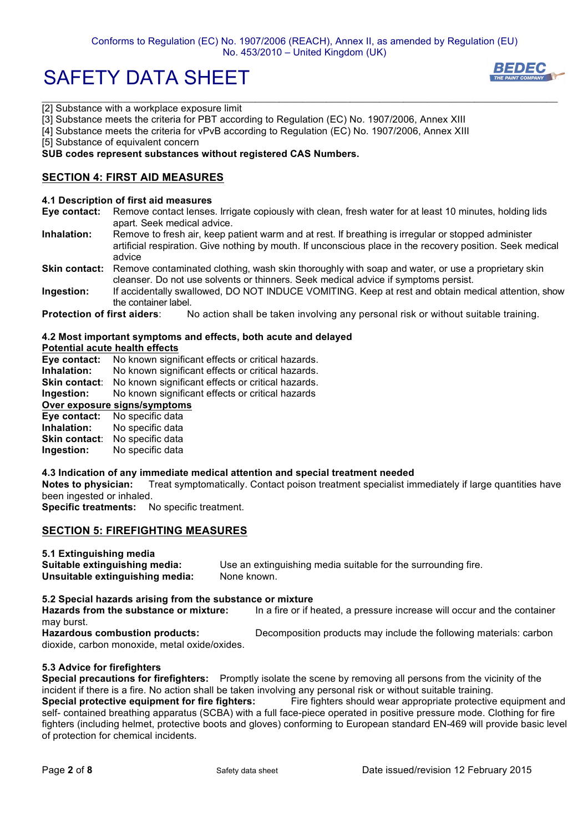### Conforms to Regulation (EC) No. 1907/2006 (REACH), Annex II, as amended by Regulation (EU) No. 453/2010 – United Kingdom (UK)

 $\mathcal{L}_\mathcal{L} = \{ \mathcal{L}_\mathcal{L} = \{ \mathcal{L}_\mathcal{L} = \{ \mathcal{L}_\mathcal{L} = \{ \mathcal{L}_\mathcal{L} = \{ \mathcal{L}_\mathcal{L} = \{ \mathcal{L}_\mathcal{L} = \{ \mathcal{L}_\mathcal{L} = \{ \mathcal{L}_\mathcal{L} = \{ \mathcal{L}_\mathcal{L} = \{ \mathcal{L}_\mathcal{L} = \{ \mathcal{L}_\mathcal{L} = \{ \mathcal{L}_\mathcal{L} = \{ \mathcal{L}_\mathcal{L} = \{ \mathcal{L}_\mathcal{$ 

# SAFETY DATA SHEET



[2] Substance with a workplace exposure limit

[3] Substance meets the criteria for PBT according to Regulation (EC) No. 1907/2006, Annex XIII

[4] Substance meets the criteria for vPvB according to Regulation (EC) No. 1907/2006, Annex XIII

[5] Substance of equivalent concern

#### **SUB codes represent substances without registered CAS Numbers.**

### **SECTION 4: FIRST AID MEASURES**

#### **4.1 Description of first aid measures**

- **Eye contact:** Remove contact lenses. Irrigate copiously with clean, fresh water for at least 10 minutes, holding lids apart. Seek medical advice.
- **Inhalation:** Remove to fresh air, keep patient warm and at rest. If breathing is irregular or stopped administer artificial respiration. Give nothing by mouth. If unconscious place in the recovery position. Seek medical advice
- **Skin contact:** Remove contaminated clothing, wash skin thoroughly with soap and water, or use a proprietary skin cleanser. Do not use solvents or thinners. Seek medical advice if symptoms persist.
- **Ingestion:** If accidentally swallowed, DO NOT INDUCE VOMITING. Keep at rest and obtain medical attention, show the container label.

**Protection of first aiders**: No action shall be taken involving any personal risk or without suitable training.

#### **4.2 Most important symptoms and effects, both acute and delayed**

#### **Potential acute health effects**

**Eye contact:** No known significant effects or critical hazards.

- **Inhalation:** No known significant effects or critical hazards.<br>**Skin contact:** No known significant effects or critical hazards.
- No known significant effects or critical hazards.
- **Ingestion:** No known significant effects or critical hazards

# **Over exposure signs/symptoms**

| Eye contact:         | No specific data |
|----------------------|------------------|
| Inhalation:          | No specific data |
| <b>Skin contact:</b> | No specific data |
| Ingestion:           | No specific data |

#### **4.3 Indication of any immediate medical attention and special treatment needed**

**Notes to physician:** Treat symptomatically. Contact poison treatment specialist immediately if large quantities have been ingested or inhaled.

**Specific treatments:** No specific treatment.

### **SECTION 5: FIREFIGHTING MEASURES**

**5.1 Extinguishing media**

**Suitable extinguishing media:** Use an extinguishing media suitable for the surrounding fire. **Unsuitable extinguishing media:** None known.

#### **5.2 Special hazards arising from the substance or mixture**

**Hazards from the substance or mixture:** In a fire or if heated, a pressure increase will occur and the container may burst. **Hazardous combustion products:** Decomposition products may include the following materials: carbon

dioxide, carbon monoxide, metal oxide/oxides.

### **5.3 Advice for firefighters**

**Special precautions for firefighters:** Promptly isolate the scene by removing all persons from the vicinity of the incident if there is a fire. No action shall be taken involving any personal risk or without suitable training. **Special protective equipment for fire fighters:** Fire fighters should wear appropriate protective equipment and self- contained breathing apparatus (SCBA) with a full face-piece operated in positive pressure mode. Clothing for fire fighters (including helmet, protective boots and gloves) conforming to European standard EN-469 will provide basic level of protection for chemical incidents.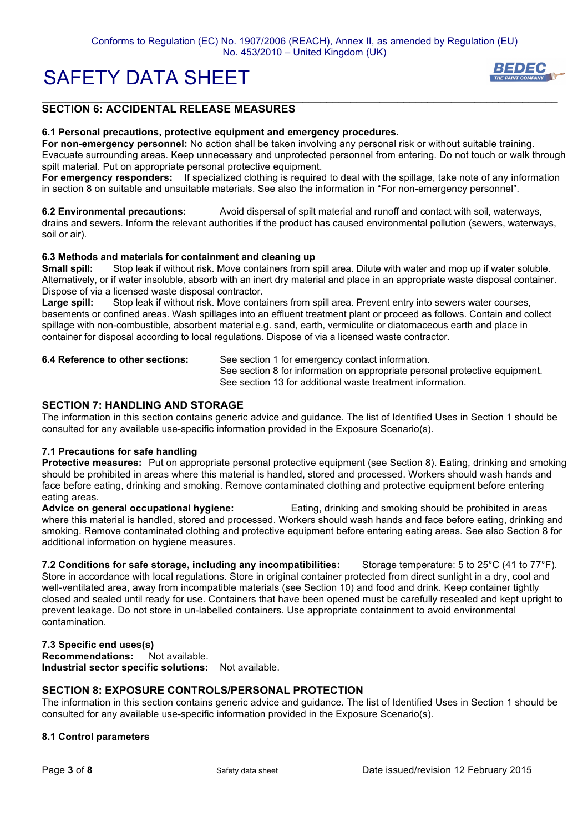

# **SECTION 6: ACCIDENTAL RELEASE MEASURES**

#### **6.1 Personal precautions, protective equipment and emergency procedures.**

**For non-emergency personnel:** No action shall be taken involving any personal risk or without suitable training. Evacuate surrounding areas. Keep unnecessary and unprotected personnel from entering. Do not touch or walk through spilt material. Put on appropriate personal protective equipment.

 $\mathcal{L}_\mathcal{L} = \{ \mathcal{L}_\mathcal{L} = \{ \mathcal{L}_\mathcal{L} = \{ \mathcal{L}_\mathcal{L} = \{ \mathcal{L}_\mathcal{L} = \{ \mathcal{L}_\mathcal{L} = \{ \mathcal{L}_\mathcal{L} = \{ \mathcal{L}_\mathcal{L} = \{ \mathcal{L}_\mathcal{L} = \{ \mathcal{L}_\mathcal{L} = \{ \mathcal{L}_\mathcal{L} = \{ \mathcal{L}_\mathcal{L} = \{ \mathcal{L}_\mathcal{L} = \{ \mathcal{L}_\mathcal{L} = \{ \mathcal{L}_\mathcal{$ 

**For emergency responders:** If specialized clothing is required to deal with the spillage, take note of any information in section 8 on suitable and unsuitable materials. See also the information in "For non-emergency personnel".

**6.2 Environmental precautions:** Avoid dispersal of spilt material and runoff and contact with soil, waterways, drains and sewers. Inform the relevant authorities if the product has caused environmental pollution (sewers, waterways, soil or air).

#### **6.3 Methods and materials for containment and cleaning up**

**Small spill:** Stop leak if without risk. Move containers from spill area. Dilute with water and mop up if water soluble. Alternatively, or if water insoluble, absorb with an inert dry material and place in an appropriate waste disposal container. Dispose of via a licensed waste disposal contractor.

**Large spill:** Stop leak if without risk. Move containers from spill area. Prevent entry into sewers water courses, basements or confined areas. Wash spillages into an effluent treatment plant or proceed as follows. Contain and collect spillage with non-combustible, absorbent material e.g. sand, earth, vermiculite or diatomaceous earth and place in container for disposal according to local regulations. Dispose of via a licensed waste contractor.

**6.4 Reference to other sections:** See section 1 for emergency contact information. See section 8 for information on appropriate personal protective equipment. See section 13 for additional waste treatment information.

#### **SECTION 7: HANDLING AND STORAGE**

The information in this section contains generic advice and guidance. The list of Identified Uses in Section 1 should be consulted for any available use-specific information provided in the Exposure Scenario(s).

#### **7.1 Precautions for safe handling**

**Protective measures:** Put on appropriate personal protective equipment (see Section 8). Eating, drinking and smoking should be prohibited in areas where this material is handled, stored and processed. Workers should wash hands and face before eating, drinking and smoking. Remove contaminated clothing and protective equipment before entering eating areas.

**Advice on general occupational hygiene:** Eating, drinking and smoking should be prohibited in areas where this material is handled, stored and processed. Workers should wash hands and face before eating, drinking and smoking. Remove contaminated clothing and protective equipment before entering eating areas. See also Section 8 for additional information on hygiene measures.

**7.2 Conditions for safe storage, including any incompatibilities:** Storage temperature: 5 to 25°C (41 to 77°F). Store in accordance with local regulations. Store in original container protected from direct sunlight in a dry, cool and well-ventilated area, away from incompatible materials (see Section 10) and food and drink. Keep container tightly closed and sealed until ready for use. Containers that have been opened must be carefully resealed and kept upright to prevent leakage. Do not store in un-labelled containers. Use appropriate containment to avoid environmental contamination.

#### **7.3 Specific end uses(s)**

**Recommendations:** Not available. **Industrial sector specific solutions:** Not available.

### **SECTION 8: EXPOSURE CONTROLS/PERSONAL PROTECTION**

The information in this section contains generic advice and guidance. The list of Identified Uses in Section 1 should be consulted for any available use-specific information provided in the Exposure Scenario(s).

#### **8.1 Control parameters**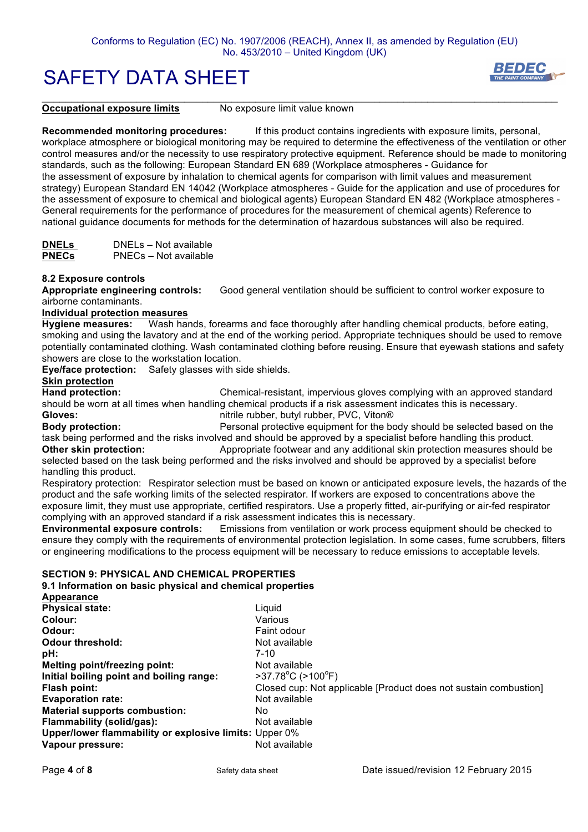

**Occupational exposure limits** No exposure limit value known

 $\mathcal{L}_\mathcal{L} = \{ \mathcal{L}_\mathcal{L} = \{ \mathcal{L}_\mathcal{L} = \{ \mathcal{L}_\mathcal{L} = \{ \mathcal{L}_\mathcal{L} = \{ \mathcal{L}_\mathcal{L} = \{ \mathcal{L}_\mathcal{L} = \{ \mathcal{L}_\mathcal{L} = \{ \mathcal{L}_\mathcal{L} = \{ \mathcal{L}_\mathcal{L} = \{ \mathcal{L}_\mathcal{L} = \{ \mathcal{L}_\mathcal{L} = \{ \mathcal{L}_\mathcal{L} = \{ \mathcal{L}_\mathcal{L} = \{ \mathcal{L}_\mathcal{$ 

**Recommended monitoring procedures:** If this product contains ingredients with exposure limits, personal, workplace atmosphere or biological monitoring may be required to determine the effectiveness of the ventilation or other control measures and/or the necessity to use respiratory protective equipment. Reference should be made to monitoring standards, such as the following: European Standard EN 689 (Workplace atmospheres - Guidance for the assessment of exposure by inhalation to chemical agents for comparison with limit values and measurement strategy) European Standard EN 14042 (Workplace atmospheres - Guide for the application and use of procedures for the assessment of exposure to chemical and biological agents) European Standard EN 482 (Workplace atmospheres - General requirements for the performance of procedures for the measurement of chemical agents) Reference to national guidance documents for methods for the determination of hazardous substances will also be required.

**DNELs** DNELs – Not available **PNECs** PNECs – Not available

#### **8.2 Exposure controls**

**Appropriate engineering controls:** Good general ventilation should be sufficient to control worker exposure to airborne contaminants.

#### **Individual protection measures**

**Hygiene measures:** Wash hands, forearms and face thoroughly after handling chemical products, before eating, smoking and using the lavatory and at the end of the working period. Appropriate techniques should be used to remove potentially contaminated clothing. Wash contaminated clothing before reusing. Ensure that eyewash stations and safety showers are close to the workstation location.

**Eye/face protection:** Safety glasses with side shields.

# **Skin protection**

**Hand protection:** Chemical-resistant, impervious gloves complying with an approved standard should be worn at all times when handling chemical products if a risk assessment indicates this is necessary. **Gloves:** nitrile rubber, butyl rubber, PVC, Viton®

**Body protection:** Personal protective equipment for the body should be selected based on the task being performed and the risks involved and should be approved by a specialist before handling this product.

**Other skin protection:** Appropriate footwear and any additional skin protection measures should be selected based on the task being performed and the risks involved and should be approved by a specialist before handling this product.

Respiratory protection: Respirator selection must be based on known or anticipated exposure levels, the hazards of the product and the safe working limits of the selected respirator. If workers are exposed to concentrations above the exposure limit, they must use appropriate, certified respirators. Use a properly fitted, air-purifying or air-fed respirator complying with an approved standard if a risk assessment indicates this is necessary.

**Environmental exposure controls:** Emissions from ventilation or work process equipment should be checked to ensure they comply with the requirements of environmental protection legislation. In some cases, fume scrubbers, filters or engineering modifications to the process equipment will be necessary to reduce emissions to acceptable levels.

### **SECTION 9: PHYSICAL AND CHEMICAL PROPERTIES**

**9.1 Information on basic physical and chemical properties**

| Appearance                                             |                                                                  |
|--------------------------------------------------------|------------------------------------------------------------------|
| <b>Physical state:</b>                                 | Liauid                                                           |
| Colour:                                                | Various                                                          |
| Odour:                                                 | Faint odour                                                      |
| <b>Odour threshold:</b>                                | Not available                                                    |
| pH:                                                    | $7 - 10$                                                         |
| Melting point/freezing point:                          | Not available                                                    |
| Initial boiling point and boiling range:               | $>37.78^{\circ}$ C ( $>100^{\circ}$ F)                           |
| Flash point:                                           | Closed cup: Not applicable [Product does not sustain combustion] |
| <b>Evaporation rate:</b>                               | Not available                                                    |
| <b>Material supports combustion:</b>                   | No.                                                              |
| <b>Flammability (solid/gas):</b>                       | Not available                                                    |
| Upper/lower flammability or explosive limits: Upper 0% |                                                                  |
| Vapour pressure:                                       | Not available                                                    |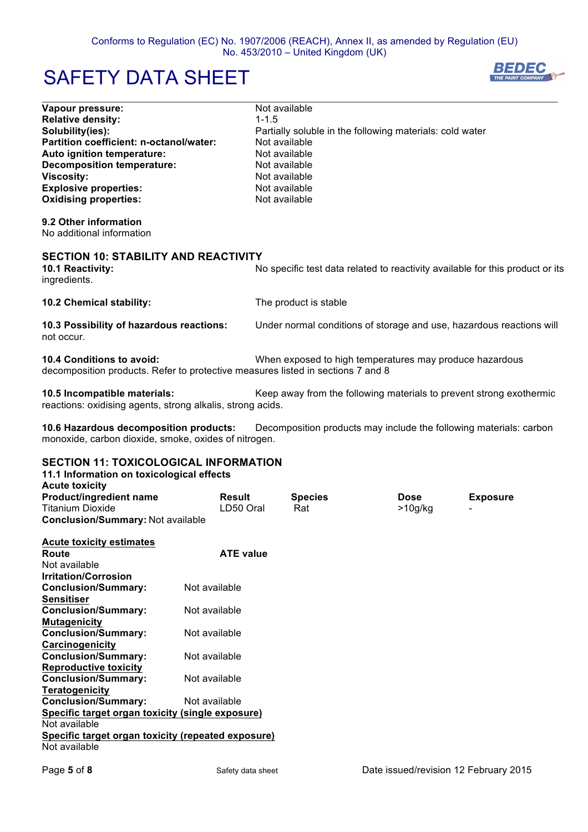$\mathcal{L}_\mathcal{L} = \{ \mathcal{L}_\mathcal{L} = \{ \mathcal{L}_\mathcal{L} = \{ \mathcal{L}_\mathcal{L} = \{ \mathcal{L}_\mathcal{L} = \{ \mathcal{L}_\mathcal{L} = \{ \mathcal{L}_\mathcal{L} = \{ \mathcal{L}_\mathcal{L} = \{ \mathcal{L}_\mathcal{L} = \{ \mathcal{L}_\mathcal{L} = \{ \mathcal{L}_\mathcal{L} = \{ \mathcal{L}_\mathcal{L} = \{ \mathcal{L}_\mathcal{L} = \{ \mathcal{L}_\mathcal{L} = \{ \mathcal{L}_\mathcal{$ 

# SAFETY DATA SHEET



| Vapour pressure:                                                                                             | Not available                                                                 |
|--------------------------------------------------------------------------------------------------------------|-------------------------------------------------------------------------------|
| <b>Relative density:</b>                                                                                     | $1 - 1.5$                                                                     |
| Solubility(ies):                                                                                             | Partially soluble in the following materials: cold water                      |
| Partition coefficient: n-octanol/water:                                                                      | Not available                                                                 |
| Auto ignition temperature:                                                                                   | Not available                                                                 |
| <b>Decomposition temperature:</b>                                                                            | Not available                                                                 |
| <b>Viscosity:</b>                                                                                            | Not available                                                                 |
| <b>Explosive properties:</b>                                                                                 | Not available                                                                 |
| <b>Oxidising properties:</b>                                                                                 | Not available                                                                 |
| 9.2 Other information                                                                                        |                                                                               |
| No additional information                                                                                    |                                                                               |
| <b>SECTION 10: STABILITY AND REACTIVITY</b>                                                                  |                                                                               |
| 10.1 Reactivity:<br>ingredients.                                                                             | No specific test data related to reactivity available for this product or its |
| 10.2 Chemical stability:                                                                                     | The product is stable                                                         |
| 10.3 Possibility of hazardous reactions:<br>not occur.                                                       | Under normal conditions of storage and use, hazardous reactions will          |
| 10.4 Conditions to avoid:<br>decomposition products. Refer to protective measures listed in sections 7 and 8 | When exposed to high temperatures may produce hazardous                       |
| 10.5 Incompatible materials:<br>reactions: oxidising agents, strong alkalis, strong acids.                   | Keep away from the following materials to prevent strong exothermic           |
| 10.6 Hazardous decomposition products:                                                                       | Decomposition products may include the following materials: carbon            |

monoxide, carbon dioxide, smoke, oxides of nitrogen.

## **SECTION 11: TOXICOLOGICAL INFORMATION**

| 11.1 Information on toxicological effects          |                  |                |         |                 |
|----------------------------------------------------|------------------|----------------|---------|-----------------|
| <b>Acute toxicity</b>                              |                  |                |         |                 |
| <b>Product/ingredient name</b>                     | <b>Result</b>    | <b>Species</b> | Dose    | <b>Exposure</b> |
| <b>Titanium Dioxide</b>                            | LD50 Oral        | Rat            | >10g/kg |                 |
| <b>Conclusion/Summary: Not available</b>           |                  |                |         |                 |
|                                                    |                  |                |         |                 |
| <b>Acute toxicity estimates</b>                    |                  |                |         |                 |
| Route                                              | <b>ATE value</b> |                |         |                 |
| Not available                                      |                  |                |         |                 |
| <b>Irritation/Corrosion</b>                        |                  |                |         |                 |
| <b>Conclusion/Summary:</b>                         | Not available    |                |         |                 |
| <b>Sensitiser</b>                                  |                  |                |         |                 |
| <b>Conclusion/Summary:</b>                         | Not available    |                |         |                 |
| <b>Mutagenicity</b>                                |                  |                |         |                 |
| <b>Conclusion/Summary:</b>                         | Not available    |                |         |                 |
| Carcinogenicity                                    |                  |                |         |                 |
| <b>Conclusion/Summary:</b>                         | Not available    |                |         |                 |
| <b>Reproductive toxicity</b>                       |                  |                |         |                 |
| <b>Conclusion/Summary:</b>                         | Not available    |                |         |                 |
| <b>Teratogenicity</b>                              |                  |                |         |                 |
| <b>Conclusion/Summary:</b>                         | Not available    |                |         |                 |
| Specific target organ toxicity (single exposure)   |                  |                |         |                 |
| Not available                                      |                  |                |         |                 |
| Specific target organ toxicity (repeated exposure) |                  |                |         |                 |
| Not available                                      |                  |                |         |                 |
|                                                    |                  |                |         |                 |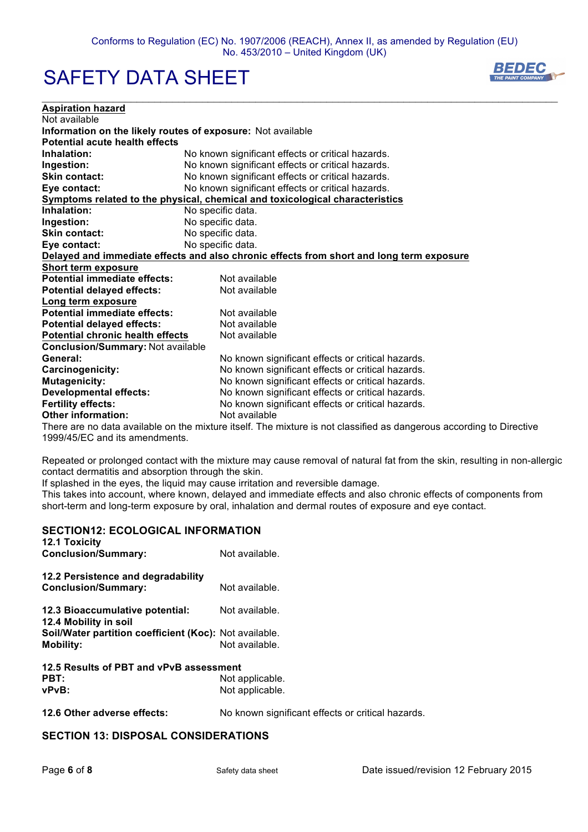$\mathcal{L}_\mathcal{L} = \{ \mathcal{L}_\mathcal{L} = \{ \mathcal{L}_\mathcal{L} = \{ \mathcal{L}_\mathcal{L} = \{ \mathcal{L}_\mathcal{L} = \{ \mathcal{L}_\mathcal{L} = \{ \mathcal{L}_\mathcal{L} = \{ \mathcal{L}_\mathcal{L} = \{ \mathcal{L}_\mathcal{L} = \{ \mathcal{L}_\mathcal{L} = \{ \mathcal{L}_\mathcal{L} = \{ \mathcal{L}_\mathcal{L} = \{ \mathcal{L}_\mathcal{L} = \{ \mathcal{L}_\mathcal{L} = \{ \mathcal{L}_\mathcal{$ 

# SAFETY DATA SHEET



| <b>Aspiration hazard</b>                                    |                                                                                          |
|-------------------------------------------------------------|------------------------------------------------------------------------------------------|
| Not available                                               |                                                                                          |
| Information on the likely routes of exposure: Not available |                                                                                          |
| Potential acute health effects                              |                                                                                          |
| Inhalation:                                                 | No known significant effects or critical hazards.                                        |
| Ingestion:                                                  | No known significant effects or critical hazards.                                        |
| <b>Skin contact:</b>                                        | No known significant effects or critical hazards.                                        |
| Eye contact:                                                | No known significant effects or critical hazards.                                        |
|                                                             | Symptoms related to the physical, chemical and toxicological characteristics             |
| Inhalation:                                                 | No specific data.                                                                        |
| Ingestion:                                                  | No specific data.                                                                        |
| <b>Skin contact:</b>                                        | No specific data.                                                                        |
| Eye contact:                                                | No specific data.                                                                        |
|                                                             | Delayed and immediate effects and also chronic effects from short and long term exposure |
| Short term exposure                                         |                                                                                          |
| Potential immediate effects:                                | Not available                                                                            |
| <b>Potential delayed effects:</b>                           | Not available                                                                            |
| Long term exposure                                          |                                                                                          |
| <b>Potential immediate effects:</b>                         | Not available                                                                            |
| <b>Potential delayed effects:</b>                           | Not available                                                                            |
| <b>Potential chronic health effects</b>                     | Not available                                                                            |
| <b>Conclusion/Summary: Not available</b>                    |                                                                                          |
| General:                                                    | No known significant effects or critical hazards.                                        |
| Carcinogenicity:                                            | No known significant effects or critical hazards.                                        |
| <b>Mutagenicity:</b>                                        | No known significant effects or critical hazards.                                        |
| <b>Developmental effects:</b>                               | No known significant effects or critical hazards.                                        |
| <b>Fertility effects:</b>                                   | No known significant effects or critical hazards.                                        |
| <b>Other information:</b>                                   | Not available                                                                            |

There are no data available on the mixture itself. The mixture is not classified as dangerous according to Directive 1999/45/EC and its amendments.

Repeated or prolonged contact with the mixture may cause removal of natural fat from the skin, resulting in non-allergic contact dermatitis and absorption through the skin.

If splashed in the eyes, the liquid may cause irritation and reversible damage.

This takes into account, where known, delayed and immediate effects and also chronic effects of components from short-term and long-term exposure by oral, inhalation and dermal routes of exposure and eye contact.

| <u>JLUIIUN IZ. LUULUUIUAL INI UNIIA HUN</u><br><b>12.1 Toxicity</b> |                 |  |
|---------------------------------------------------------------------|-----------------|--|
| <b>Conclusion/Summary:</b>                                          | Not available.  |  |
| 12.2 Persistence and degradability<br><b>Conclusion/Summary:</b>    | Not available.  |  |
| 12.3 Bioaccumulative potential:<br>12.4 Mobility in soil            | Not available.  |  |
| <b>Soil/Water partition coefficient (Koc):</b> Not available.       |                 |  |
| <b>Mobility:</b>                                                    | Not available.  |  |
| 12.5 Results of PBT and vPvB assessment                             |                 |  |
| PBT:                                                                | Not applicable. |  |
| vPvB:                                                               | Not applicable. |  |
|                                                                     |                 |  |

**12.6 Other adverse effects:** No known significant effects or critical hazards.

## **SECTION 13: DISPOSAL CONSIDERATIONS**

**SECTION12: ECOLOGICAL INFORMATION**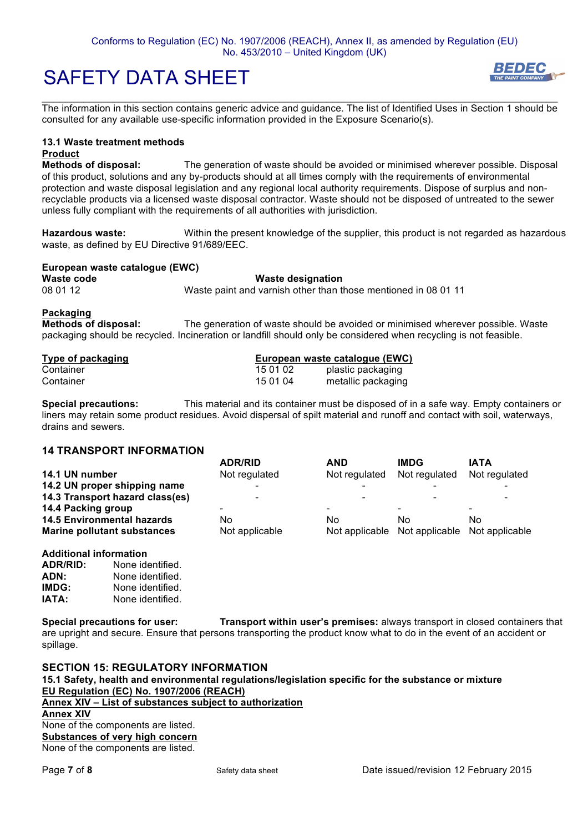$\mathcal{L}_\mathcal{L} = \{ \mathcal{L}_\mathcal{L} = \{ \mathcal{L}_\mathcal{L} = \{ \mathcal{L}_\mathcal{L} = \{ \mathcal{L}_\mathcal{L} = \{ \mathcal{L}_\mathcal{L} = \{ \mathcal{L}_\mathcal{L} = \{ \mathcal{L}_\mathcal{L} = \{ \mathcal{L}_\mathcal{L} = \{ \mathcal{L}_\mathcal{L} = \{ \mathcal{L}_\mathcal{L} = \{ \mathcal{L}_\mathcal{L} = \{ \mathcal{L}_\mathcal{L} = \{ \mathcal{L}_\mathcal{L} = \{ \mathcal{L}_\mathcal{$ The information in this section contains generic advice and guidance. The list of Identified Uses in Section 1 should be consulted for any available use-specific information provided in the Exposure Scenario(s).

### **13.1 Waste treatment methods**

#### **Product**

**Methods of disposal:** The generation of waste should be avoided or minimised wherever possible. Disposal of this product, solutions and any by-products should at all times comply with the requirements of environmental protection and waste disposal legislation and any regional local authority requirements. Dispose of surplus and nonrecyclable products via a licensed waste disposal contractor. Waste should not be disposed of untreated to the sewer unless fully compliant with the requirements of all authorities with jurisdiction.

**Hazardous waste:** Within the present knowledge of the supplier, this product is not regarded as hazardous waste, as defined by EU Directive 91/689/EEC.

### **European waste catalogue (EWC) Waste code Waste designation**<br>
08.01.12 **Waste paint and varnish other than t** 08 01 12 Waste paint and varnish other than those mentioned in 08 01 11

#### **Packaging**

**Methods of disposal:** The generation of waste should be avoided or minimised wherever possible. Waste packaging should be recycled. Incineration or landfill should only be considered when recycling is not feasible.

| Type of packaging |          | European waste catalogue (EWC) |
|-------------------|----------|--------------------------------|
| Container         | 15 01 02 | plastic packaging              |
| Container         | 15 01 04 | metallic packaging             |

**Special precautions:** This material and its container must be disposed of in a safe way. Empty containers or liners may retain some product residues. Avoid dispersal of spilt material and runoff and contact with soil, waterways, drains and sewers.

## **14 TRANSPORT INFORMATION**

|                                    | <b>ADR/RID</b> | <b>AND</b>               | <b>IMDG</b>              | <b>IATA</b>              |
|------------------------------------|----------------|--------------------------|--------------------------|--------------------------|
| 14.1 UN number                     | Not regulated  | Not regulated            | Not regulated            | Not regulated            |
| 14.2 UN proper shipping name       |                |                          |                          |                          |
| 14.3 Transport hazard class(es)    | -              |                          |                          | $\overline{\phantom{a}}$ |
| 14.4 Packing group                 | -              | $\overline{\phantom{0}}$ | $\overline{\phantom{0}}$ |                          |
| <b>14.5 Environmental hazards</b>  | No             | No                       | N٥                       | No                       |
| <b>Marine pollutant substances</b> | Not applicable | Not applicable           | Not applicable           | Not applicable           |
|                                    |                |                          |                          |                          |

### **Additional information**

| ADR/RID: | None identified. |
|----------|------------------|
| ADN:     | None identified. |
| IMDG:    | None identified. |
| IATA:    | None identified. |

**Special precautions for user: Transport within user's premises:** always transport in closed containers that are upright and secure. Ensure that persons transporting the product know what to do in the event of an accident or spillage.

**SECTION 15: REGULATORY INFORMATION 15.1 Safety, health and environmental regulations/legislation specific for the substance or mixture EU Regulation (EC) No. 1907/2006 (REACH) Annex XIV – List of substances subject to authorization Annex XIV** None of the components are listed. **Substances of very high concern** None of the components are listed.